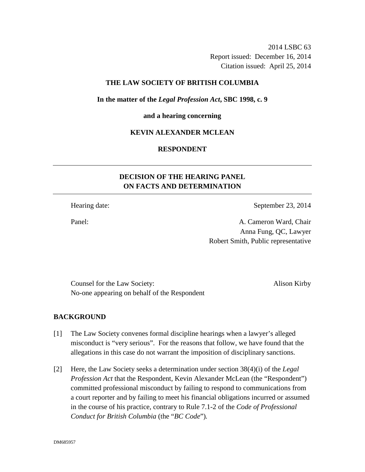2014 LSBC 63 Report issued: December 16, 2014 Citation issued: April 25, 2014

### **THE LAW SOCIETY OF BRITISH COLUMBIA**

**In the matter of the** *Legal Profession Act***, SBC 1998, c. 9** 

#### **and a hearing concerning**

### **KEVIN ALEXANDER MCLEAN**

### **RESPONDENT**

# **DECISION OF THE HEARING PANEL ON FACTS AND DETERMINATION**

Hearing date: September 23, 2014

Panel: A. Cameron Ward, Chair Anna Fung, QC, Lawyer Robert Smith, Public representative

Counsel for the Law Society: Alison Kirby No-one appearing on behalf of the Respondent

#### **BACKGROUND**

- [1] The Law Society convenes formal discipline hearings when a lawyer's alleged misconduct is "very serious". For the reasons that follow, we have found that the allegations in this case do not warrant the imposition of disciplinary sanctions.
- [2] Here, the Law Society seeks a determination under section 38(4)(i) of the *Legal Profession Act* that the Respondent, Kevin Alexander McLean (the "Respondent") committed professional misconduct by failing to respond to communications from a court reporter and by failing to meet his financial obligations incurred or assumed in the course of his practice, contrary to Rule 7.1-2 of the *Code of Professional Conduct for British Columbia* (the "*BC Code*")*.*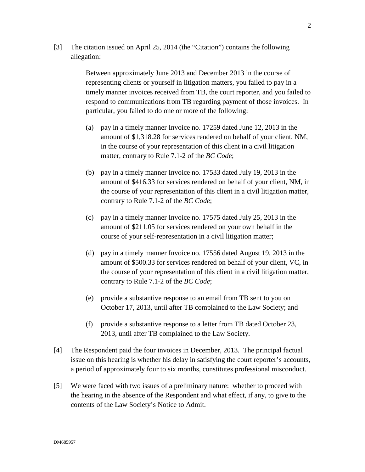[3] The citation issued on April 25, 2014 (the "Citation") contains the following allegation:

> Between approximately June 2013 and December 2013 in the course of representing clients or yourself in litigation matters, you failed to pay in a timely manner invoices received from TB, the court reporter, and you failed to respond to communications from TB regarding payment of those invoices. In particular, you failed to do one or more of the following:

- (a) pay in a timely manner Invoice no. 17259 dated June 12, 2013 in the amount of \$1,318.28 for services rendered on behalf of your client, NM, in the course of your representation of this client in a civil litigation matter, contrary to Rule 7.1-2 of the *BC Code*;
- (b) pay in a timely manner Invoice no. 17533 dated July 19, 2013 in the amount of \$416.33 for services rendered on behalf of your client, NM, in the course of your representation of this client in a civil litigation matter, contrary to Rule 7.1-2 of the *BC Code*;
- (c) pay in a timely manner Invoice no. 17575 dated July 25, 2013 in the amount of \$211.05 for services rendered on your own behalf in the course of your self-representation in a civil litigation matter;
- (d) pay in a timely manner Invoice no. 17556 dated August 19, 2013 in the amount of \$500.33 for services rendered on behalf of your client, VC, in the course of your representation of this client in a civil litigation matter, contrary to Rule 7.1-2 of the *BC Code*;
- (e) provide a substantive response to an email from TB sent to you on October 17, 2013, until after TB complained to the Law Society; and
- (f) provide a substantive response to a letter from TB dated October 23, 2013, until after TB complained to the Law Society.
- [4] The Respondent paid the four invoices in December, 2013. The principal factual issue on this hearing is whether his delay in satisfying the court reporter's accounts, a period of approximately four to six months, constitutes professional misconduct.
- [5] We were faced with two issues of a preliminary nature: whether to proceed with the hearing in the absence of the Respondent and what effect, if any, to give to the contents of the Law Society's Notice to Admit.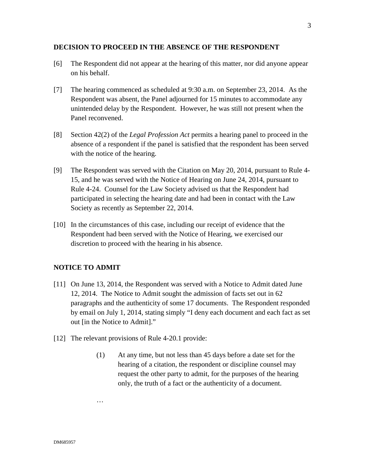#### **DECISION TO PROCEED IN THE ABSENCE OF THE RESPONDENT**

- [6] The Respondent did not appear at the hearing of this matter, nor did anyone appear on his behalf.
- [7] The hearing commenced as scheduled at 9:30 a.m. on September 23, 2014. As the Respondent was absent, the Panel adjourned for 15 minutes to accommodate any unintended delay by the Respondent. However, he was still not present when the Panel reconvened.
- [8] Section 42(2) of the *Legal Profession Act* permits a hearing panel to proceed in the absence of a respondent if the panel is satisfied that the respondent has been served with the notice of the hearing.
- [9] The Respondent was served with the Citation on May 20, 2014, pursuant to Rule 4- 15, and he was served with the Notice of Hearing on June 24, 2014, pursuant to Rule 4-24. Counsel for the Law Society advised us that the Respondent had participated in selecting the hearing date and had been in contact with the Law Society as recently as September 22, 2014.
- [10] In the circumstances of this case, including our receipt of evidence that the Respondent had been served with the Notice of Hearing, we exercised our discretion to proceed with the hearing in his absence.

### **NOTICE TO ADMIT**

…

- [11] On June 13, 2014, the Respondent was served with a Notice to Admit dated June 12, 2014. The Notice to Admit sought the admission of facts set out in 62 paragraphs and the authenticity of some 17 documents. The Respondent responded by email on July 1, 2014, stating simply "I deny each document and each fact as set out [in the Notice to Admit]."
- [12] The relevant provisions of Rule 4-20.1 provide:
	- (1) At any time, but not less than 45 days before a date set for the hearing of a citation, the respondent or discipline counsel may request the other party to admit, for the purposes of the hearing only, the truth of a fact or the authenticity of a document.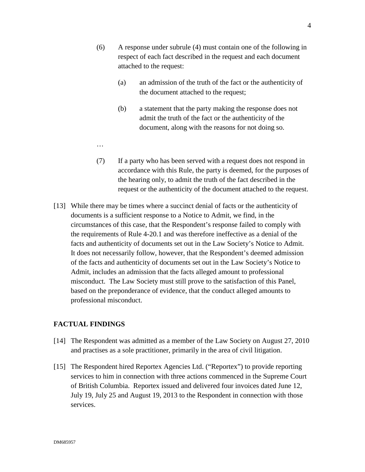- (6) A response under subrule (4) must contain one of the following in respect of each fact described in the request and each document attached to the request:
	- (a) an admission of the truth of the fact or the authenticity of the document attached to the request;
	- (b) a statement that the party making the response does not admit the truth of the fact or the authenticity of the document, along with the reasons for not doing so.
- (7) If a party who has been served with a request does not respond in accordance with this Rule, the party is deemed, for the purposes of the hearing only, to admit the truth of the fact described in the request or the authenticity of the document attached to the request.
- [13] While there may be times where a succinct denial of facts or the authenticity of documents is a sufficient response to a Notice to Admit, we find, in the circumstances of this case, that the Respondent's response failed to comply with the requirements of Rule 4-20.1 and was therefore ineffective as a denial of the facts and authenticity of documents set out in the Law Society's Notice to Admit. It does not necessarily follow, however, that the Respondent's deemed admission of the facts and authenticity of documents set out in the Law Society's Notice to Admit, includes an admission that the facts alleged amount to professional misconduct. The Law Society must still prove to the satisfaction of this Panel, based on the preponderance of evidence, that the conduct alleged amounts to professional misconduct.

### **FACTUAL FINDINGS**

…

- [14] The Respondent was admitted as a member of the Law Society on August 27, 2010 and practises as a sole practitioner, primarily in the area of civil litigation.
- [15] The Respondent hired Reportex Agencies Ltd. ("Reportex") to provide reporting services to him in connection with three actions commenced in the Supreme Court of British Columbia. Reportex issued and delivered four invoices dated June 12, July 19, July 25 and August 19, 2013 to the Respondent in connection with those services.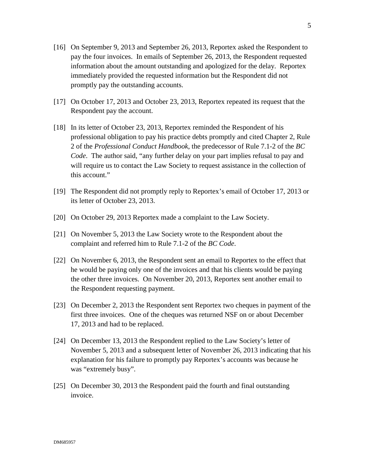- [16] On September 9, 2013 and September 26, 2013, Reportex asked the Respondent to pay the four invoices. In emails of September 26, 2013, the Respondent requested information about the amount outstanding and apologized for the delay. Reportex immediately provided the requested information but the Respondent did not promptly pay the outstanding accounts.
- [17] On October 17, 2013 and October 23, 2013, Reportex repeated its request that the Respondent pay the account.
- [18] In its letter of October 23, 2013, Reportex reminded the Respondent of his professional obligation to pay his practice debts promptly and cited Chapter 2, Rule 2 of the *Professional Conduct Handbook*, the predecessor of Rule 7.1-2 of the *BC Code*. The author said, "any further delay on your part implies refusal to pay and will require us to contact the Law Society to request assistance in the collection of this account."
- [19] The Respondent did not promptly reply to Reportex's email of October 17, 2013 or its letter of October 23, 2013.
- [20] On October 29, 2013 Reportex made a complaint to the Law Society.
- [21] On November 5, 2013 the Law Society wrote to the Respondent about the complaint and referred him to Rule 7.1-2 of the *BC Code*.
- [22] On November 6, 2013, the Respondent sent an email to Reportex to the effect that he would be paying only one of the invoices and that his clients would be paying the other three invoices. On November 20, 2013, Reportex sent another email to the Respondent requesting payment.
- [23] On December 2, 2013 the Respondent sent Reportex two cheques in payment of the first three invoices. One of the cheques was returned NSF on or about December 17, 2013 and had to be replaced.
- [24] On December 13, 2013 the Respondent replied to the Law Society's letter of November 5, 2013 and a subsequent letter of November 26, 2013 indicating that his explanation for his failure to promptly pay Reportex's accounts was because he was "extremely busy".
- [25] On December 30, 2013 the Respondent paid the fourth and final outstanding invoice.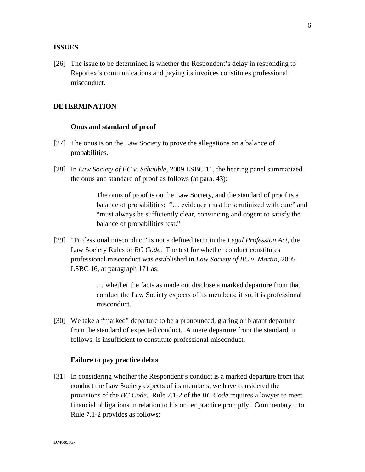#### **ISSUES**

[26] The issue to be determined is whether the Respondent's delay in responding to Reportex's communications and paying its invoices constitutes professional misconduct.

### **DETERMINATION**

#### **Onus and standard of proof**

- [27] The onus is on the Law Society to prove the allegations on a balance of probabilities.
- [28] In *Law Society of BC v. Schauble*, 2009 LSBC 11, the hearing panel summarized the onus and standard of proof as follows (at para. 43):

The onus of proof is on the Law Society, and the standard of proof is a balance of probabilities: "… evidence must be scrutinized with care" and "must always be sufficiently clear, convincing and cogent to satisfy the balance of probabilities test."

[29] "Professional misconduct" is not a defined term in the *Legal Profession Act*, the Law Society Rules or *BC Code*. The test for whether conduct constitutes professional misconduct was established in *Law Society of BC v. Martin*, 2005 LSBC 16, at paragraph 171 as:

> … whether the facts as made out disclose a marked departure from that conduct the Law Society expects of its members; if so, it is professional misconduct.

[30] We take a "marked" departure to be a pronounced, glaring or blatant departure from the standard of expected conduct. A mere departure from the standard, it follows, is insufficient to constitute professional misconduct.

#### **Failure to pay practice debts**

[31] In considering whether the Respondent's conduct is a marked departure from that conduct the Law Society expects of its members, we have considered the provisions of the *BC Code*. Rule 7.1-2 of the *BC Code* requires a lawyer to meet financial obligations in relation to his or her practice promptly. Commentary 1 to Rule 7.1-2 provides as follows: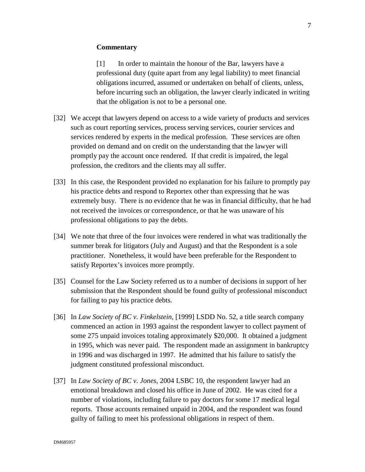#### **Commentary**

[1] In order to maintain the honour of the Bar, lawyers have a professional duty (quite apart from any legal liability) to meet financial obligations incurred, assumed or undertaken on behalf of clients, unless, before incurring such an obligation, the lawyer clearly indicated in writing that the obligation is not to be a personal one.

- [32] We accept that lawyers depend on access to a wide variety of products and services such as court reporting services, process serving services, courier services and services rendered by experts in the medical profession. These services are often provided on demand and on credit on the understanding that the lawyer will promptly pay the account once rendered. If that credit is impaired, the legal profession, the creditors and the clients may all suffer.
- [33] In this case, the Respondent provided no explanation for his failure to promptly pay his practice debts and respond to Reportex other than expressing that he was extremely busy. There is no evidence that he was in financial difficulty, that he had not received the invoices or correspondence, or that he was unaware of his professional obligations to pay the debts.
- [34] We note that three of the four invoices were rendered in what was traditionally the summer break for litigators (July and August) and that the Respondent is a sole practitioner. Nonetheless, it would have been preferable for the Respondent to satisfy Reportex's invoices more promptly.
- [35] Counsel for the Law Society referred us to a number of decisions in support of her submission that the Respondent should be found guilty of professional misconduct for failing to pay his practice debts.
- [36] In *Law Society of BC v. Finkelstein*, [1999] LSDD No. 52, a title search company commenced an action in 1993 against the respondent lawyer to collect payment of some 275 unpaid invoices totaling approximately \$20,000. It obtained a judgment in 1995, which was never paid. The respondent made an assignment in bankruptcy in 1996 and was discharged in 1997. He admitted that his failure to satisfy the judgment constituted professional misconduct.
- [37] In *Law Society of BC v. Jones*, 2004 LSBC 10, the respondent lawyer had an emotional breakdown and closed his office in June of 2002. He was cited for a number of violations, including failure to pay doctors for some 17 medical legal reports. Those accounts remained unpaid in 2004, and the respondent was found guilty of failing to meet his professional obligations in respect of them.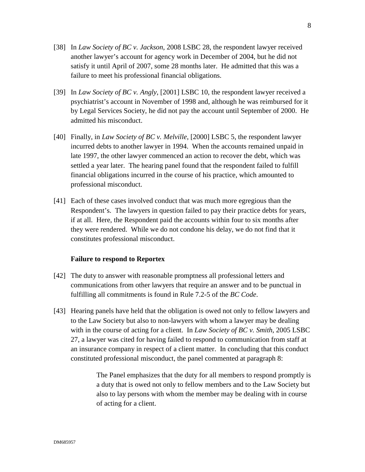- [38] In *Law Society of BC v. Jackson*, 2008 LSBC 28, the respondent lawyer received another lawyer's account for agency work in December of 2004, but he did not satisfy it until April of 2007, some 28 months later. He admitted that this was a failure to meet his professional financial obligations.
- [39] In *Law Society of BC v. Angly*, [2001] LSBC 10, the respondent lawyer received a psychiatrist's account in November of 1998 and, although he was reimbursed for it by Legal Services Society, he did not pay the account until September of 2000. He admitted his misconduct.
- [40] Finally, in *Law Society of BC v. Melville*, [2000] LSBC 5, the respondent lawyer incurred debts to another lawyer in 1994. When the accounts remained unpaid in late 1997, the other lawyer commenced an action to recover the debt, which was settled a year later. The hearing panel found that the respondent failed to fulfill financial obligations incurred in the course of his practice, which amounted to professional misconduct.
- [41] Each of these cases involved conduct that was much more egregious than the Respondent's. The lawyers in question failed to pay their practice debts for years, if at all. Here, the Respondent paid the accounts within four to six months after they were rendered. While we do not condone his delay, we do not find that it constitutes professional misconduct.

#### **Failure to respond to Reportex**

- [42] The duty to answer with reasonable promptness all professional letters and communications from other lawyers that require an answer and to be punctual in fulfilling all commitments is found in Rule 7.2-5 of the *BC Code*.
- [43] Hearing panels have held that the obligation is owed not only to fellow lawyers and to the Law Society but also to non-lawyers with whom a lawyer may be dealing with in the course of acting for a client. In *Law Society of BC v. Smith*, 2005 LSBC 27, a lawyer was cited for having failed to respond to communication from staff at an insurance company in respect of a client matter. In concluding that this conduct constituted professional misconduct, the panel commented at paragraph 8:

The Panel emphasizes that the duty for all members to respond promptly is a duty that is owed not only to fellow members and to the Law Society but also to lay persons with whom the member may be dealing with in course of acting for a client.